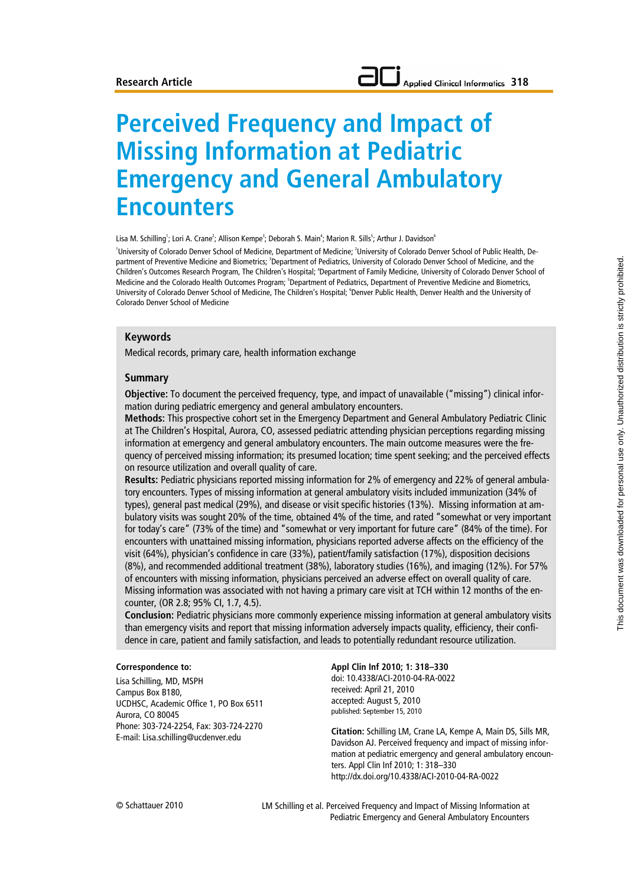# **Perceived Frequency and Impact of Missing Information at Pediatric Emergency and General Ambulatory Encounters**

Lisa M. Schilling<sup>1</sup>; Lori A. Crane<sup>2</sup>; Allison Kempe<sup>3</sup>; Deborah S. Main<sup>4</sup>; Marion R. Sills<sup>5</sup>; Arthur J. Davidson<sup>6</sup>

<sup>1</sup>University of Colorado Denver School of Medicine, Department of Medicine; <sup>2</sup>University of Colorado Denver School of Public Health, Department of Preventive Medicine and Biometrics; <sup>3</sup>Department of Pediatrics, University of Colorado Denver School of Medicine, and the Children's Outcomes Research Program, The Children's Hospital; <sup>4</sup>Department of Family Medicine, University of Colorado Denver School of Medicine and the Colorado Health Outcomes Program; <sup>5</sup>Department of Pediatrics, Department of Preventive Medicine and Biometrics, University of Colorado Denver School of Medicine, The Children's Hospital; <sup>6</sup>Denver Public Health, Denver Health and the University of Colorado Denver School of Medicine

#### **Keywords**

Medical records, primary care, health information exchange

#### **Summary**

**Objective:** To document the perceived frequency, type, and impact of unavailable ("missing") clinical information during pediatric emergency and general ambulatory encounters.

**Methods:** This prospective cohort set in the Emergency Department and General Ambulatory Pediatric Clinic at The Children's Hospital, Aurora, CO, assessed pediatric attending physician perceptions regarding missing information at emergency and general ambulatory encounters. The main outcome measures were the frequency of perceived missing information; its presumed location; time spent seeking; and the perceived effects on resource utilization and overall quality of care.

**Results:** Pediatric physicians reported missing information for 2% of emergency and 22% of general ambulatory encounters. Types of missing information at general ambulatory visits included immunization (34% of types), general past medical (29%), and disease or visit specific histories (13%). Missing information at ambulatory visits was sought 20% of the time, obtained 4% of the time, and rated "somewhat or very important for today's care" (73% of the time) and "somewhat or very important for future care" (84% of the time). For encounters with unattained missing information, physicians reported adverse affects on the efficiency of the visit (64%), physician's confidence in care (33%), patient/family satisfaction (17%), disposition decisions (8%), and recommended additional treatment (38%), laboratory studies (16%), and imaging (12%). For 57% of encounters with missing information, physicians perceived an adverse effect on overall quality of care. Missing information was associated with not having a primary care visit at TCH within 12 months of the encounter, (OR 2.8; 95% CI, 1.7, 4.5).

**Conclusion:** Pediatric physicians more commonly experience missing information at general ambulatory visits than emergency visits and report that missing information adversely impacts quality, efficiency, their confidence in care, patient and family satisfaction, and leads to potentially redundant resource utilization.

#### **Correspondence to:**

Lisa Schilling, MD, MSPH Campus Box B180, UCDHSC, Academic Office 1, PO Box 6511 Aurora, CO 80045 Phone: 303-724-2254, Fax: 303-724-2270 **Appl Clin Inf 2010; 1: 318–330** doi: 10.4338/ACI-2010-04-RA-0022 received: April 21, 2010 accepted: August 5, 2010 published: September 15, 2010

E-mail: Lisa.schilling@ucdenver.edu **Citation:** Schilling LM, Crane LA, Kempe A, Main DS, Sills MR, Davidson AJ. Perceived frequency and impact of missing information at pediatric emergency and general ambulatory encounters. Appl Clin Inf 2010; 1: 318–330 http://dx.doi.org/10.4338/ACI-2010-04-RA-0022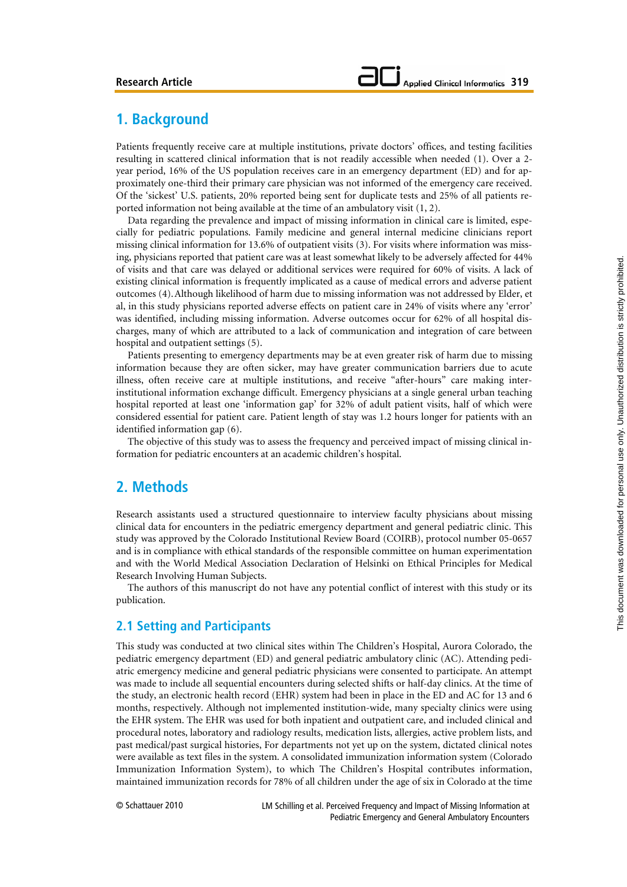# **1. Background**

Patients frequently receive care at multiple institutions, private doctors' offices, and testing facilities resulting in scattered clinical information that is not readily accessible when needed (1). Over a 2 year period, 16% of the US population receives care in an emergency department (ED) and for approximately one-third their primary care physician was not informed of the emergency care received. Of the 'sickest' U.S. patients, 20% reported being sent for duplicate tests and 25% of all patients reported information not being available at the time of an ambulatory visit (1, 2).

Data regarding the prevalence and impact of missing information in clinical care is limited, especially for pediatric populations. Family medicine and general internal medicine clinicians report missing clinical information for 13.6% of outpatient visits (3). For visits where information was missing, physicians reported that patient care was at least somewhat likely to be adversely affected for 44% of visits and that care was delayed or additional services were required for 60% of visits. A lack of existing clinical information is frequently implicated as a cause of medical errors and adverse patient outcomes (4).Although likelihood of harm due to missing information was not addressed by Elder, et al, in this study physicians reported adverse effects on patient care in 24% of visits where any 'error' was identified, including missing information. Adverse outcomes occur for 62% of all hospital discharges, many of which are attributed to a lack of communication and integration of care between hospital and outpatient settings (5).

Patients presenting to emergency departments may be at even greater risk of harm due to missing information because they are often sicker, may have greater communication barriers due to acute illness, often receive care at multiple institutions, and receive "after-hours" care making interinstitutional information exchange difficult. Emergency physicians at a single general urban teaching hospital reported at least one 'information gap' for 32% of adult patient visits, half of which were considered essential for patient care. Patient length of stay was 1.2 hours longer for patients with an identified information gap (6).

The objective of this study was to assess the frequency and perceived impact of missing clinical information for pediatric encounters at an academic children's hospital.

# **2. Methods**

Research assistants used a structured questionnaire to interview faculty physicians about missing clinical data for encounters in the pediatric emergency department and general pediatric clinic. This study was approved by the Colorado Institutional Review Board (COIRB), protocol number 05-0657 and is in compliance with ethical standards of the responsible committee on human experimentation and with the World Medical Association Declaration of Helsinki on Ethical Principles for Medical Research Involving Human Subjects.

The authors of this manuscript do not have any potential conflict of interest with this study or its publication.

## **2.1 Setting and Participants**

This study was conducted at two clinical sites within The Children's Hospital, Aurora Colorado, the pediatric emergency department (ED) and general pediatric ambulatory clinic (AC). Attending pediatric emergency medicine and general pediatric physicians were consented to participate. An attempt was made to include all sequential encounters during selected shifts or half-day clinics. At the time of the study, an electronic health record (EHR) system had been in place in the ED and AC for 13 and 6 months, respectively. Although not implemented institution-wide, many specialty clinics were using the EHR system. The EHR was used for both inpatient and outpatient care, and included clinical and procedural notes, laboratory and radiology results, medication lists, allergies, active problem lists, and past medical/past surgical histories, For departments not yet up on the system, dictated clinical notes were available as text files in the system. A consolidated immunization information system (Colorado Immunization Information System), to which The Children's Hospital contributes information, maintained immunization records for 78% of all children under the age of six in Colorado at the time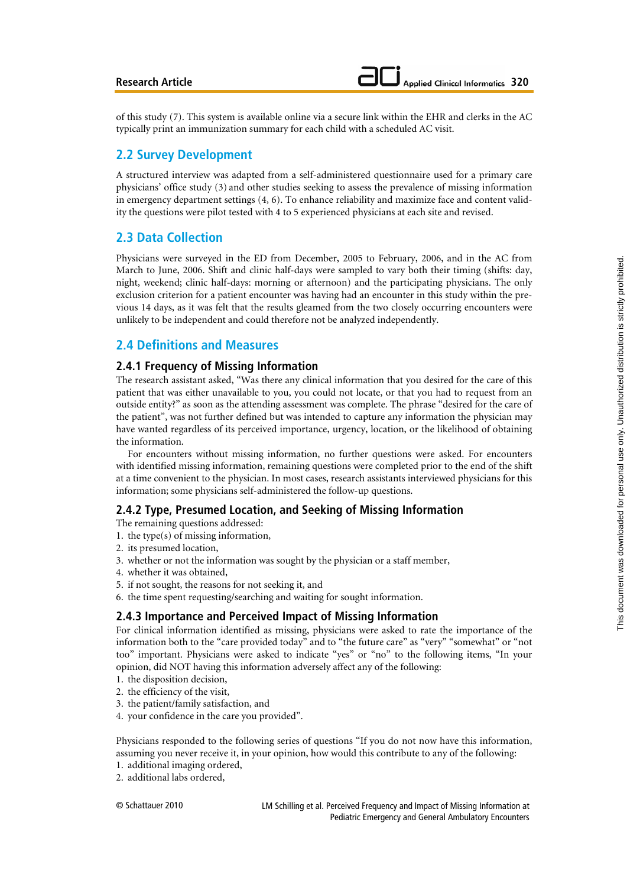of this study (7). This system is available online via a secure link within the EHR and clerks in the AC typically print an immunization summary for each child with a scheduled AC visit.

## **2.2 Survey Development**

A structured interview was adapted from a self-administered questionnaire used for a primary care physicians' office study (3) and other studies seeking to assess the prevalence of missing information in emergency department settings (4, 6). To enhance reliability and maximize face and content validity the questions were pilot tested with 4 to 5 experienced physicians at each site and revised.

## **2.3 Data Collection**

Physicians were surveyed in the ED from December, 2005 to February, 2006, and in the AC from March to June, 2006. Shift and clinic half-days were sampled to vary both their timing (shifts: day, night, weekend; clinic half-days: morning or afternoon) and the participating physicians. The only exclusion criterion for a patient encounter was having had an encounter in this study within the previous 14 days, as it was felt that the results gleamed from the two closely occurring encounters were unlikely to be independent and could therefore not be analyzed independently.

## **2.4 Definitions and Measures**

## **2.4.1 Frequency of Missing Information**

The research assistant asked, "Was there any clinical information that you desired for the care of this patient that was either unavailable to you, you could not locate, or that you had to request from an outside entity?" as soon as the attending assessment was complete. The phrase "desired for the care of the patient", was not further defined but was intended to capture any information the physician may have wanted regardless of its perceived importance, urgency, location, or the likelihood of obtaining the information.

For encounters without missing information, no further questions were asked. For encounters with identified missing information, remaining questions were completed prior to the end of the shift at a time convenient to the physician. In most cases, research assistants interviewed physicians for this information; some physicians self-administered the follow-up questions.

## **2.4.2 Type, Presumed Location, and Seeking of Missing Information**

The remaining questions addressed:

- 1. the type(s) of missing information,
- 2. its presumed location,
- 3. whether or not the information was sought by the physician or a staff member,
- 4. whether it was obtained,
- 5. if not sought, the reasons for not seeking it, and
- 6. the time spent requesting/searching and waiting for sought information.

## **2.4.3 Importance and Perceived Impact of Missing Information**

For clinical information identified as missing, physicians were asked to rate the importance of the information both to the "care provided today" and to "the future care" as "very" "somewhat" or "not too" important. Physicians were asked to indicate "yes" or "no" to the following items, "In your opinion, did NOT having this information adversely affect any of the following:

- 1. the disposition decision,
- 2. the efficiency of the visit,
- 3. the patient/family satisfaction, and
- 4. your confidence in the care you provided".

Physicians responded to the following series of questions "If you do not now have this information, assuming you never receive it, in your opinion, how would this contribute to any of the following:

- 1. additional imaging ordered,
- 2. additional labs ordered,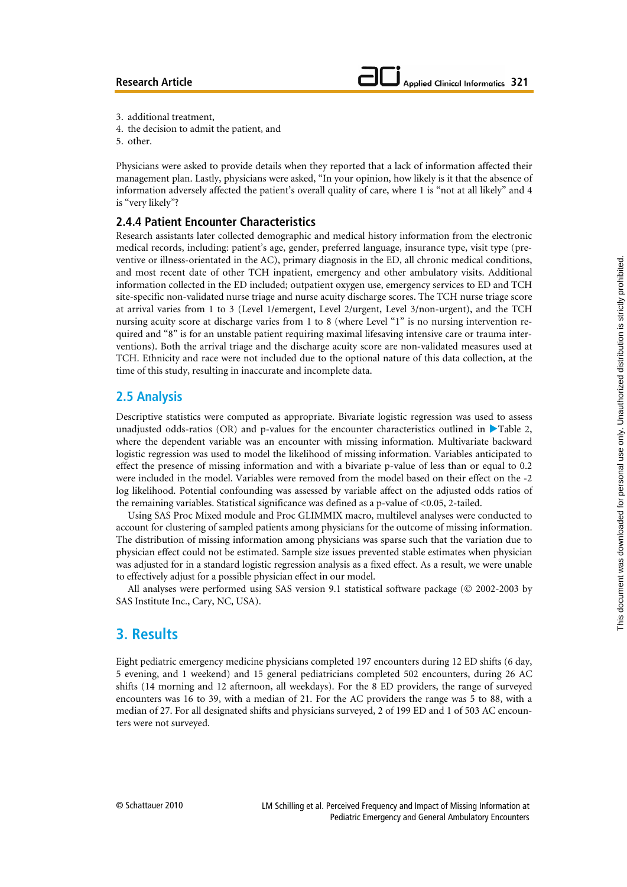- 3. additional treatment,
- 4. the decision to admit the patient, and
- 5. other.

Physicians were asked to provide details when they reported that a lack of information affected their management plan. Lastly, physicians were asked, "In your opinion, how likely is it that the absence of information adversely affected the patient's overall quality of care, where 1 is "not at all likely" and 4 is "very likely"?

#### **2.4.4 Patient Encounter Characteristics**

Research assistants later collected demographic and medical history information from the electronic medical records, including: patient's age, gender, preferred language, insurance type, visit type (preventive or illness-orientated in the AC), primary diagnosis in the ED, all chronic medical conditions, and most recent date of other TCH inpatient, emergency and other ambulatory visits. Additional information collected in the ED included; outpatient oxygen use, emergency services to ED and TCH site-specific non-validated nurse triage and nurse acuity discharge scores. The TCH nurse triage score at arrival varies from 1 to 3 (Level 1/emergent, Level 2/urgent, Level 3/non-urgent), and the TCH nursing acuity score at discharge varies from 1 to 8 (where Level "1" is no nursing intervention required and "8" is for an unstable patient requiring maximal lifesaving intensive care or trauma interventions). Both the arrival triage and the discharge acuity score are non-validated measures used at TCH. Ethnicity and race were not included due to the optional nature of this data collection, at the time of this study, resulting in inaccurate and incomplete data.

## **2.5 Analysis**

Descriptive statistics were computed as appropriate. Bivariate logistic regression was used to assess unadjusted odds-ratios (OR) and p-values for the encounter characteristics outlined in  $\blacktriangleright$  Table 2, where the dependent variable was an encounter with missing information. Multivariate backward logistic regression was used to model the likelihood of missing information. Variables anticipated to effect the presence of missing information and with a bivariate p-value of less than or equal to 0.2 were included in the model. Variables were removed from the model based on their effect on the -2 log likelihood. Potential confounding was assessed by variable affect on the adjusted odds ratios of the remaining variables. Statistical significance was defined as a p-value of <0.05, 2-tailed.

Using SAS Proc Mixed module and Proc GLIMMIX macro, multilevel analyses were conducted to account for clustering of sampled patients among physicians for the outcome of missing information. The distribution of missing information among physicians was sparse such that the variation due to physician effect could not be estimated. Sample size issues prevented stable estimates when physician was adjusted for in a standard logistic regression analysis as a fixed effect. As a result, we were unable to effectively adjust for a possible physician effect in our model.

All analyses were performed using SAS version 9.1 statistical software package (© 2002-2003 by SAS Institute Inc., Cary, NC, USA).

# **3. Results**

Eight pediatric emergency medicine physicians completed 197 encounters during 12 ED shifts (6 day, 5 evening, and 1 weekend) and 15 general pediatricians completed 502 encounters, during 26 AC shifts (14 morning and 12 afternoon, all weekdays). For the 8 ED providers, the range of surveyed encounters was 16 to 39, with a median of 21. For the AC providers the range was 5 to 88, with a median of 27. For all designated shifts and physicians surveyed, 2 of 199 ED and 1 of 503 AC encounters were not surveyed.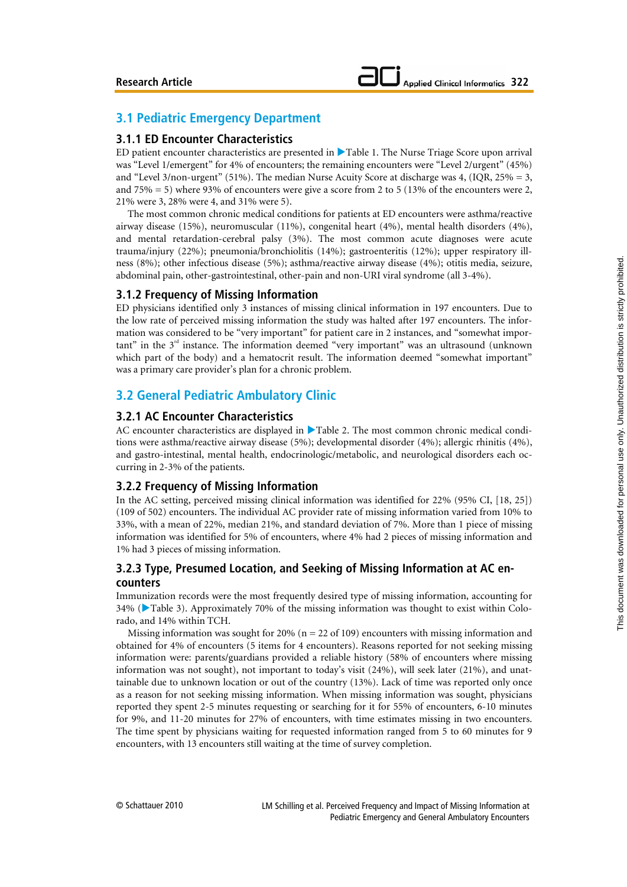## **3.1 Pediatric Emergency Department**

## **3.1.1 ED Encounter Characteristics**

ED patient encounter characteristics are presented in  $\blacktriangleright$  Table 1. The Nurse Triage Score upon arrival was "Level 1/emergent" for 4% of encounters; the remaining encounters were "Level 2/urgent" (45%) and "Level 3/non-urgent" (51%). The median Nurse Acuity Score at discharge was 4, (IQR,  $25\% = 3$ , and 75% = 5) where 93% of encounters were give a score from 2 to 5 (13% of the encounters were 2, 21% were 3, 28% were 4, and 31% were 5).

The most common chronic medical conditions for patients at ED encounters were asthma/reactive airway disease (15%), neuromuscular (11%), congenital heart (4%), mental health disorders (4%), and mental retardation-cerebral palsy (3%). The most common acute diagnoses were acute trauma/injury (22%); pneumonia/bronchiolitis (14%); gastroenteritis (12%); upper respiratory illness (8%); other infectious disease (5%); asthma/reactive airway disease (4%); otitis media, seizure, abdominal pain, other-gastrointestinal, other-pain and non-URI viral syndrome (all 3-4%).

#### **3.1.2 Frequency of Missing Information**

ED physicians identified only 3 instances of missing clinical information in 197 encounters. Due to the low rate of perceived missing information the study was halted after 197 encounters. The information was considered to be "very important" for patient care in 2 instances, and "somewhat important" in the  $3<sup>rd</sup>$  instance. The information deemed "very important" was an ultrasound (unknown which part of the body) and a hematocrit result. The information deemed "somewhat important" was a primary care provider's plan for a chronic problem.

## **3.2 General Pediatric Ambulatory Clinic**

## **3.2.1 AC Encounter Characteristics**

AC encounter characteristics are displayed in  $\blacktriangleright$  Table 2. The most common chronic medical conditions were asthma/reactive airway disease (5%); developmental disorder (4%); allergic rhinitis (4%), and gastro-intestinal, mental health, endocrinologic/metabolic, and neurological disorders each occurring in 2-3% of the patients.

## **3.2.2 Frequency of Missing Information**

In the AC setting, perceived missing clinical information was identified for 22% (95% CI, [18, 25]) (109 of 502) encounters. The individual AC provider rate of missing information varied from 10% to 33%, with a mean of 22%, median 21%, and standard deviation of 7%. More than 1 piece of missing information was identified for 5% of encounters, where 4% had 2 pieces of missing information and 1% had 3 pieces of missing information.

## **3.2.3 Type, Presumed Location, and Seeking of Missing Information at AC encounters**

Immunization records were the most frequently desired type of missing information, accounting for  $34\%$  ( $\blacktriangleright$  Table 3). Approximately 70% of the missing information was thought to exist within Colorado, and 14% within TCH.

Missing information was sought for  $20\%$  (n = 22 of 109) encounters with missing information and obtained for 4% of encounters (5 items for 4 encounters). Reasons reported for not seeking missing information were: parents/guardians provided a reliable history (58% of encounters where missing information was not sought), not important to today's visit (24%), will seek later (21%), and unattainable due to unknown location or out of the country (13%). Lack of time was reported only once as a reason for not seeking missing information. When missing information was sought, physicians reported they spent 2-5 minutes requesting or searching for it for 55% of encounters, 6-10 minutes for 9%, and 11-20 minutes for 27% of encounters, with time estimates missing in two encounters. The time spent by physicians waiting for requested information ranged from 5 to 60 minutes for 9 encounters, with 13 encounters still waiting at the time of survey completion.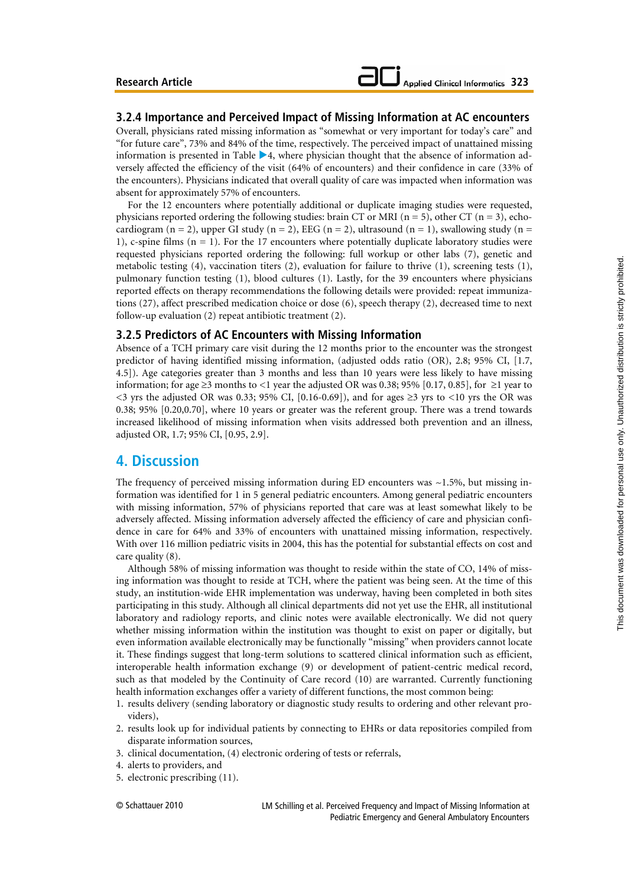# **Applied Clinical Informatics 323**

#### **3.2.4 Importance and Perceived Impact of Missing Information at AC encounters**

Overall, physicians rated missing information as "somewhat or very important for today's care" and "for future care", 73% and 84% of the time, respectively. The perceived impact of unattained missing information is presented in Table  $\blacktriangleright$  4, where physician thought that the absence of information adversely affected the efficiency of the visit (64% of encounters) and their confidence in care (33% of the encounters). Physicians indicated that overall quality of care was impacted when information was absent for approximately 57% of encounters.

For the 12 encounters where potentially additional or duplicate imaging studies were requested, physicians reported ordering the following studies: brain CT or MRI ( $n = 5$ ), other CT ( $n = 3$ ), echocardiogram (n = 2), upper GI study (n = 2), EEG (n = 2), ultrasound (n = 1), swallowing study (n = 1), c-spine films  $(n = 1)$ . For the 17 encounters where potentially duplicate laboratory studies were requested physicians reported ordering the following: full workup or other labs (7), genetic and metabolic testing (4), vaccination titers (2), evaluation for failure to thrive (1), screening tests (1), pulmonary function testing (1), blood cultures (1). Lastly, for the 39 encounters where physicians reported effects on therapy recommendations the following details were provided: repeat immunizations (27), affect prescribed medication choice or dose (6), speech therapy (2), decreased time to next follow-up evaluation (2) repeat antibiotic treatment (2).

#### **3.2.5 Predictors of AC Encounters with Missing Information**

Absence of a TCH primary care visit during the 12 months prior to the encounter was the strongest predictor of having identified missing information, (adjusted odds ratio (OR), 2.8; 95% CI, [1.7, 4.5]). Age categories greater than 3 months and less than 10 years were less likely to have missing information; for age ≥3 months to <1 year the adjusted OR was 0.38; 95% [0.17, 0.85], for ≥1 year to <3 yrs the adjusted OR was 0.33; 95% CI,  $[0.16-0.69]$ , and for ages ≥3 yrs to <10 yrs the OR was 0.38; 95% [0.20,0.70], where 10 years or greater was the referent group. There was a trend towards increased likelihood of missing information when visits addressed both prevention and an illness, adjusted OR, 1.7; 95% CI, [0.95, 2.9].

## **4. Discussion**

The frequency of perceived missing information during ED encounters was  $\sim$ 1.5%, but missing information was identified for 1 in 5 general pediatric encounters. Among general pediatric encounters with missing information, 57% of physicians reported that care was at least somewhat likely to be adversely affected. Missing information adversely affected the efficiency of care and physician confidence in care for 64% and 33% of encounters with unattained missing information, respectively. With over 116 million pediatric visits in 2004, this has the potential for substantial effects on cost and care quality (8).

Although 58% of missing information was thought to reside within the state of CO, 14% of missing information was thought to reside at TCH, where the patient was being seen. At the time of this study, an institution-wide EHR implementation was underway, having been completed in both sites participating in this study. Although all clinical departments did not yet use the EHR, all institutional laboratory and radiology reports, and clinic notes were available electronically. We did not query whether missing information within the institution was thought to exist on paper or digitally, but even information available electronically may be functionally "missing" when providers cannot locate it. These findings suggest that long-term solutions to scattered clinical information such as efficient, interoperable health information exchange (9) or development of patient-centric medical record, such as that modeled by the Continuity of Care record (10) are warranted. Currently functioning health information exchanges offer a variety of different functions, the most common being:

- 1. results delivery (sending laboratory or diagnostic study results to ordering and other relevant providers),
- 2. results look up for individual patients by connecting to EHRs or data repositories compiled from disparate information sources,
- 3. clinical documentation, (4) electronic ordering of tests or referrals,
- 4. alerts to providers, and
- 5. electronic prescribing (11).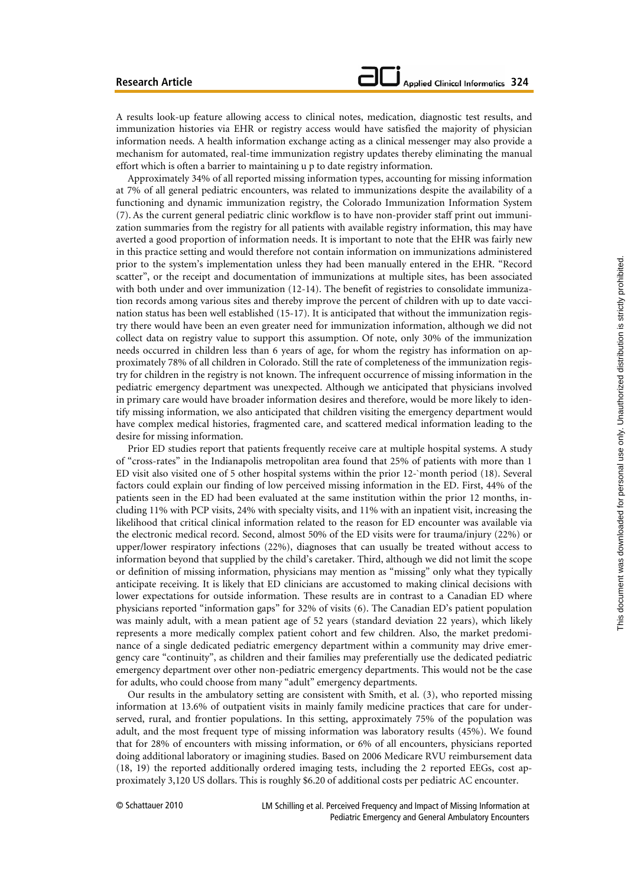A results look-up feature allowing access to clinical notes, medication, diagnostic test results, and immunization histories via EHR or registry access would have satisfied the majority of physician information needs. A health information exchange acting as a clinical messenger may also provide a mechanism for automated, real-time immunization registry updates thereby eliminating the manual effort which is often a barrier to maintaining u p to date registry information.

Approximately 34% of all reported missing information types, accounting for missing information at 7% of all general pediatric encounters, was related to immunizations despite the availability of a functioning and dynamic immunization registry, the Colorado Immunization Information System (7). As the current general pediatric clinic workflow is to have non-provider staff print out immunization summaries from the registry for all patients with available registry information, this may have averted a good proportion of information needs. It is important to note that the EHR was fairly new in this practice setting and would therefore not contain information on immunizations administered prior to the system's implementation unless they had been manually entered in the EHR. "Record scatter", or the receipt and documentation of immunizations at multiple sites, has been associated with both under and over immunization (12-14). The benefit of registries to consolidate immunization records among various sites and thereby improve the percent of children with up to date vaccination status has been well established (15-17). It is anticipated that without the immunization registry there would have been an even greater need for immunization information, although we did not collect data on registry value to support this assumption. Of note, only 30% of the immunization needs occurred in children less than 6 years of age, for whom the registry has information on approximately 78% of all children in Colorado. Still the rate of completeness of the immunization registry for children in the registry is not known. The infrequent occurrence of missing information in the pediatric emergency department was unexpected. Although we anticipated that physicians involved in primary care would have broader information desires and therefore, would be more likely to identify missing information, we also anticipated that children visiting the emergency department would have complex medical histories, fragmented care, and scattered medical information leading to the desire for missing information.

Prior ED studies report that patients frequently receive care at multiple hospital systems. A study of "cross-rates" in the Indianapolis metropolitan area found that 25% of patients with more than 1 ED visit also visited one of 5 other hospital systems within the prior 12-`month period (18). Several factors could explain our finding of low perceived missing information in the ED. First, 44% of the patients seen in the ED had been evaluated at the same institution within the prior 12 months, including 11% with PCP visits, 24% with specialty visits, and 11% with an inpatient visit, increasing the likelihood that critical clinical information related to the reason for ED encounter was available via the electronic medical record. Second, almost 50% of the ED visits were for trauma/injury (22%) or upper/lower respiratory infections (22%), diagnoses that can usually be treated without access to information beyond that supplied by the child's caretaker. Third, although we did not limit the scope or definition of missing information, physicians may mention as "missing" only what they typically anticipate receiving. It is likely that ED clinicians are accustomed to making clinical decisions with lower expectations for outside information. These results are in contrast to a Canadian ED where physicians reported "information gaps" for 32% of visits (6). The Canadian ED's patient population was mainly adult, with a mean patient age of 52 years (standard deviation 22 years), which likely represents a more medically complex patient cohort and few children. Also, the market predominance of a single dedicated pediatric emergency department within a community may drive emergency care "continuity", as children and their families may preferentially use the dedicated pediatric emergency department over other non-pediatric emergency departments. This would not be the case for adults, who could choose from many "adult" emergency departments.

Our results in the ambulatory setting are consistent with Smith, et al. (3), who reported missing information at 13.6% of outpatient visits in mainly family medicine practices that care for underserved, rural, and frontier populations. In this setting, approximately 75% of the population was adult, and the most frequent type of missing information was laboratory results (45%). We found that for 28% of encounters with missing information, or 6% of all encounters, physicians reported doing additional laboratory or imagining studies. Based on 2006 Medicare RVU reimbursement data (18, 19) the reported additionally ordered imaging tests, including the 2 reported EEGs, cost approximately 3,120 US dollars. This is roughly \$6.20 of additional costs per pediatric AC encounter.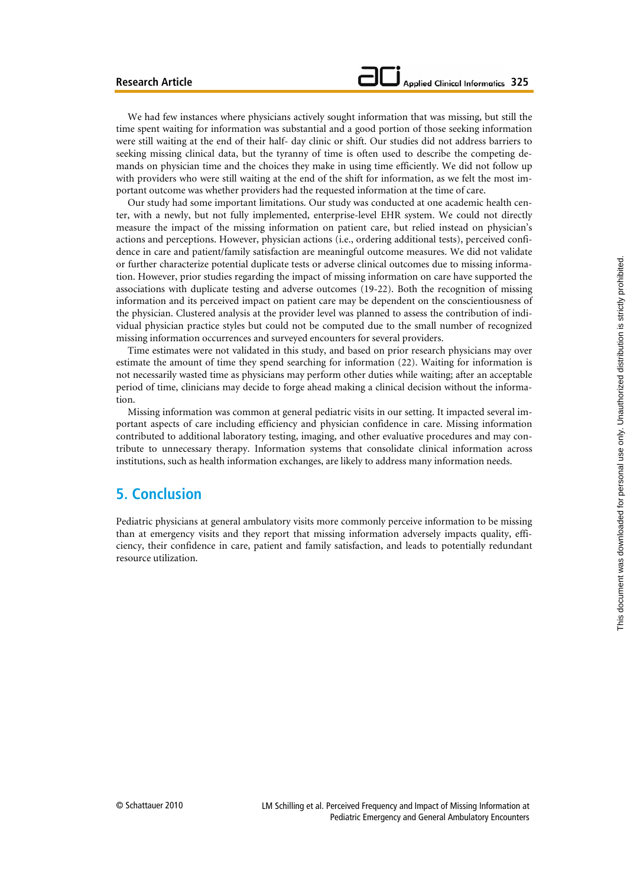We had few instances where physicians actively sought information that was missing, but still the time spent waiting for information was substantial and a good portion of those seeking information were still waiting at the end of their half- day clinic or shift. Our studies did not address barriers to seeking missing clinical data, but the tyranny of time is often used to describe the competing demands on physician time and the choices they make in using time efficiently. We did not follow up with providers who were still waiting at the end of the shift for information, as we felt the most important outcome was whether providers had the requested information at the time of care.

Our study had some important limitations. Our study was conducted at one academic health center, with a newly, but not fully implemented, enterprise-level EHR system. We could not directly measure the impact of the missing information on patient care, but relied instead on physician's actions and perceptions. However, physician actions (i.e., ordering additional tests), perceived confidence in care and patient/family satisfaction are meaningful outcome measures. We did not validate or further characterize potential duplicate tests or adverse clinical outcomes due to missing information. However, prior studies regarding the impact of missing information on care have supported the associations with duplicate testing and adverse outcomes (19-22). Both the recognition of missing information and its perceived impact on patient care may be dependent on the conscientiousness of the physician. Clustered analysis at the provider level was planned to assess the contribution of individual physician practice styles but could not be computed due to the small number of recognized missing information occurrences and surveyed encounters for several providers.

Time estimates were not validated in this study, and based on prior research physicians may over estimate the amount of time they spend searching for information (22). Waiting for information is not necessarily wasted time as physicians may perform other duties while waiting; after an acceptable period of time, clinicians may decide to forge ahead making a clinical decision without the information.

Missing information was common at general pediatric visits in our setting. It impacted several important aspects of care including efficiency and physician confidence in care. Missing information contributed to additional laboratory testing, imaging, and other evaluative procedures and may contribute to unnecessary therapy. Information systems that consolidate clinical information across institutions, such as health information exchanges, are likely to address many information needs.

# **5. Conclusion**

Pediatric physicians at general ambulatory visits more commonly perceive information to be missing than at emergency visits and they report that missing information adversely impacts quality, efficiency, their confidence in care, patient and family satisfaction, and leads to potentially redundant resource utilization.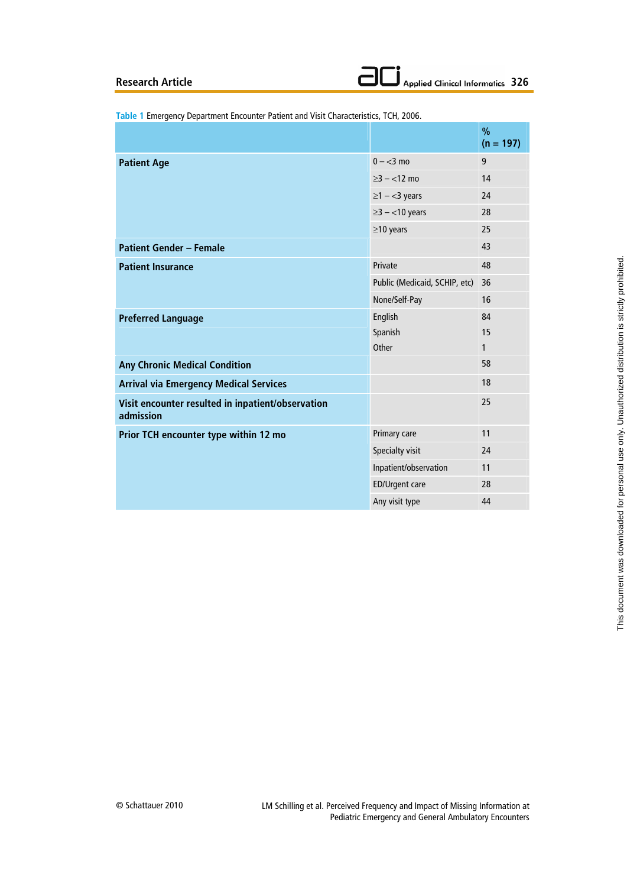**Table 1** Emergency Department Encounter Patient and Visit Characteristics, TCH, 2006.

|                                                                |                               | $\%$<br>$(n = 197)$ |
|----------------------------------------------------------------|-------------------------------|---------------------|
| <b>Patient Age</b>                                             | $0 - < 3$ mo                  | 9                   |
|                                                                | $\geq$ 3 – <12 mo             | 14                  |
|                                                                | $\geq$ 1 - <3 years           | 24                  |
|                                                                | $\geq$ 3 - <10 years          | 28                  |
|                                                                | $\geq$ 10 years               | 25                  |
| <b>Patient Gender - Female</b>                                 |                               | 43                  |
| <b>Patient Insurance</b>                                       | Private                       | 48                  |
|                                                                | Public (Medicaid, SCHIP, etc) | 36                  |
|                                                                | None/Self-Pay                 | 16                  |
| <b>Preferred Language</b>                                      | English                       | 84                  |
|                                                                | Spanish                       | 15                  |
|                                                                | Other                         | 1                   |
| <b>Any Chronic Medical Condition</b>                           |                               | 58                  |
| <b>Arrival via Emergency Medical Services</b>                  |                               | 18                  |
| Visit encounter resulted in inpatient/observation<br>admission |                               | 25                  |
| Prior TCH encounter type within 12 mo                          | Primary care                  | 11                  |
|                                                                | Specialty visit               | 24                  |
|                                                                | Inpatient/observation         | 11                  |
|                                                                | <b>ED/Urgent care</b>         | 28                  |
|                                                                | Any visit type                | 44                  |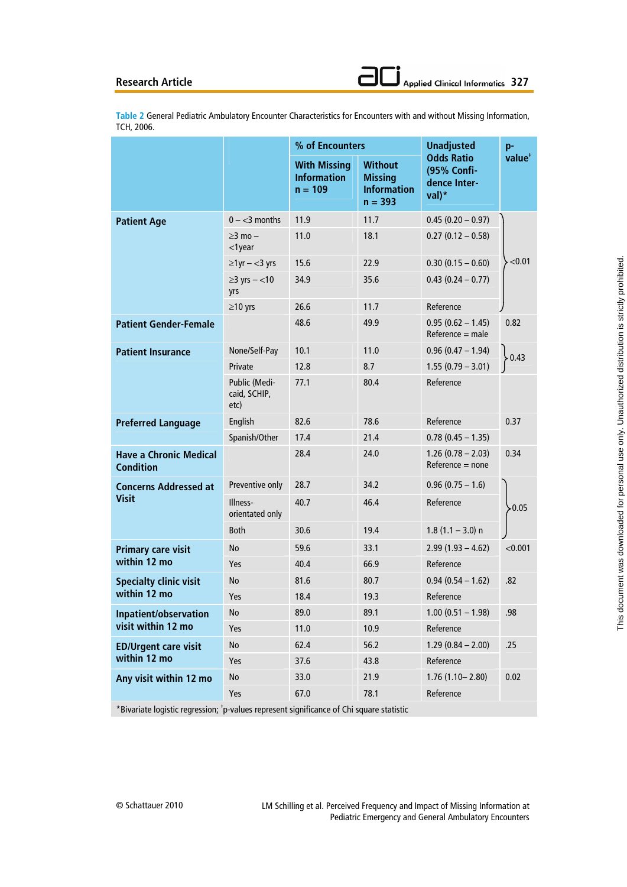**Table 2** General Pediatric Ambulatory Encounter Characteristics for Encounters with and without Missing Information, TCH, 2006.

|                                                   |                                       | % of Encounters                                        |                                                                     | <b>Unadjusted</b>                                           | p-                 |
|---------------------------------------------------|---------------------------------------|--------------------------------------------------------|---------------------------------------------------------------------|-------------------------------------------------------------|--------------------|
|                                                   |                                       | <b>With Missing</b><br><b>Information</b><br>$n = 109$ | <b>Without</b><br><b>Missing</b><br><b>Information</b><br>$n = 393$ | <b>Odds Ratio</b><br>(95% Confi-<br>dence Inter-<br>$val)*$ | value <sup>*</sup> |
| <b>Patient Age</b>                                | $0 - 3$ months                        | 11.9                                                   | 11.7                                                                | $0.45(0.20 - 0.97)$                                         |                    |
|                                                   | $>3$ mo $-$<br>$<$ 1 year             | 11.0                                                   | 18.1                                                                | $0.27(0.12 - 0.58)$                                         |                    |
|                                                   | $\geq$ 1 yr $-$ < 3 yrs               | 15.6                                                   | 22.9                                                                | $0.30(0.15 - 0.60)$                                         | < 0.01             |
|                                                   | $\geq$ 3 yrs – <10<br>yrs             | 34.9                                                   | 35.6                                                                | $0.43(0.24 - 0.77)$                                         |                    |
|                                                   | $\geq$ 10 yrs                         | 26.6                                                   | 11.7                                                                | Reference                                                   |                    |
| <b>Patient Gender-Female</b>                      |                                       | 48.6                                                   | 49.9                                                                | $0.95(0.62 - 1.45)$<br>$Reference = male$                   | 0.82               |
| <b>Patient Insurance</b>                          | None/Self-Pay                         | 10.1                                                   | 11.0                                                                | $0.96(0.47 - 1.94)$                                         | 0.43               |
|                                                   | Private                               | 12.8                                                   | 8.7                                                                 | $1.55(0.79 - 3.01)$                                         |                    |
|                                                   | Public (Medi-<br>caid, SCHIP,<br>etc) | 77.1                                                   | 80.4                                                                | Reference                                                   |                    |
| <b>Preferred Language</b>                         | English                               | 82.6                                                   | 78.6                                                                | Reference                                                   | 0.37               |
|                                                   | Spanish/Other                         | 17.4                                                   | 21.4                                                                | $0.78(0.45 - 1.35)$                                         |                    |
| <b>Have a Chronic Medical</b><br><b>Condition</b> |                                       | 28.4                                                   | 24.0                                                                | $1.26(0.78 - 2.03)$<br>$Reference = none$                   | 0.34               |
| <b>Concerns Addressed at</b><br><b>Visit</b>      | Preventive only                       | 28.7                                                   | 34.2                                                                | $0.96(0.75 - 1.6)$                                          |                    |
|                                                   | Illness-<br>orientated only           | 40.7                                                   | 46.4                                                                | Reference                                                   | $-0.05$            |
|                                                   | <b>Both</b>                           | 30.6                                                   | 19.4                                                                | $1.8(1.1 - 3.0)$ n                                          |                    |
| <b>Primary care visit</b>                         | No                                    | 59.6                                                   | 33.1                                                                | $2.99(1.93 - 4.62)$                                         | < 0.001            |
| within 12 mo                                      | Yes                                   | 40.4                                                   | 66.9                                                                | Reference                                                   |                    |
| <b>Specialty clinic visit</b><br>within 12 mo     | No                                    | 81.6                                                   | 80.7                                                                | $0.94(0.54 - 1.62)$                                         | .82                |
|                                                   | Yes                                   | 18.4                                                   | 19.3                                                                | Reference                                                   |                    |
| Inpatient/observation<br>visit within 12 mo       | No                                    | 89.0                                                   | 89.1                                                                | $1.00$ (0.51 - 1.98)                                        | .98                |
|                                                   | Yes                                   | 11.0                                                   | 10.9                                                                | Reference                                                   |                    |
| <b>ED/Urgent care visit</b>                       | No                                    | 62.4                                                   | 56.2                                                                | $1.29(0.84 - 2.00)$                                         | .25                |
| within 12 mo                                      | Yes                                   | 37.6                                                   | 43.8                                                                | Reference                                                   |                    |
| Any visit within 12 mo                            | No                                    | 33.0                                                   | 21.9                                                                | $1.76(1.10 - 2.80)$                                         | 0.02               |
|                                                   | Yes                                   | 67.0                                                   | 78.1                                                                | Reference                                                   |                    |

\*Bivariate logistic regression; ‡ p-values represent significance of Chi square statistic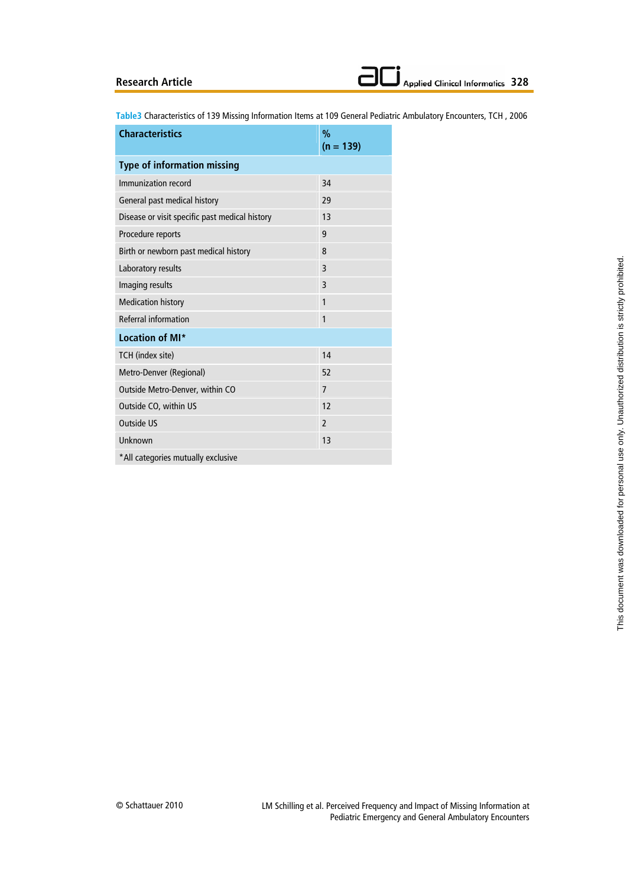**Table3** Characteristics of 139 Missing Information Items at 109 General Pediatric Ambulatory Encounters, TCH , 2006

| <b>Characteristics</b>                         | $\%$           |  |  |  |
|------------------------------------------------|----------------|--|--|--|
|                                                | $(n = 139)$    |  |  |  |
| <b>Type of information missing</b>             |                |  |  |  |
| Immunization record                            | 34             |  |  |  |
| General past medical history                   | 29             |  |  |  |
| Disease or visit specific past medical history | 13             |  |  |  |
| Procedure reports                              | 9              |  |  |  |
| Birth or newborn past medical history          | 8              |  |  |  |
| Laboratory results                             | 3              |  |  |  |
| Imaging results                                | 3              |  |  |  |
| <b>Medication history</b>                      | 1              |  |  |  |
| Referral information                           | 1              |  |  |  |
| Location of MI*                                |                |  |  |  |
| TCH (index site)                               | 14             |  |  |  |
| Metro-Denver (Regional)                        | 52             |  |  |  |
| Outside Metro-Denver, within CO                | $\overline{7}$ |  |  |  |
| Outside CO, within US                          | 12             |  |  |  |
| <b>Outside US</b>                              | $\overline{2}$ |  |  |  |
| Unknown                                        | 13             |  |  |  |
| *All categories mutually exclusive             |                |  |  |  |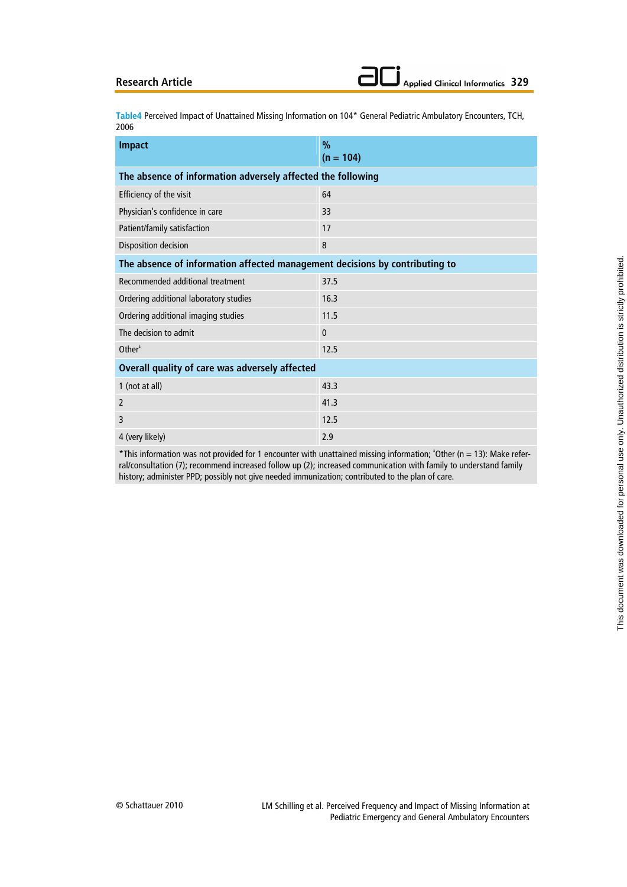**Table4** Perceived Impact of Unattained Missing Information on 104\* General Pediatric Ambulatory Encounters, TCH, 2006

| <b>Impact</b>                                                               | $\frac{0}{0}$<br>$(n = 104)$ |  |  |  |
|-----------------------------------------------------------------------------|------------------------------|--|--|--|
| The absence of information adversely affected the following                 |                              |  |  |  |
| Efficiency of the visit                                                     | 64                           |  |  |  |
| Physician's confidence in care                                              | 33                           |  |  |  |
| Patient/family satisfaction                                                 | 17                           |  |  |  |
| Disposition decision                                                        | 8                            |  |  |  |
| The absence of information affected management decisions by contributing to |                              |  |  |  |
| Recommended additional treatment                                            | 37.5                         |  |  |  |
| Ordering additional laboratory studies                                      | 16.3                         |  |  |  |
| Ordering additional imaging studies                                         | 11.5                         |  |  |  |
| The decision to admit                                                       | $\Omega$                     |  |  |  |
| Other <sup>#</sup>                                                          | 12.5                         |  |  |  |
| Overall quality of care was adversely affected                              |                              |  |  |  |
| 1 (not at all)                                                              | 43.3                         |  |  |  |
| $\overline{2}$                                                              | 41.3                         |  |  |  |
| 3                                                                           | 12.5                         |  |  |  |
| 4 (very likely)                                                             | 2.9                          |  |  |  |

\*This information was not provided for 1 encounter with unattained missing information; ‡ Other (n = 13): Make referral/consultation (7); recommend increased follow up (2); increased communication with family to understand family history; administer PPD; possibly not give needed immunization; contributed to the plan of care.